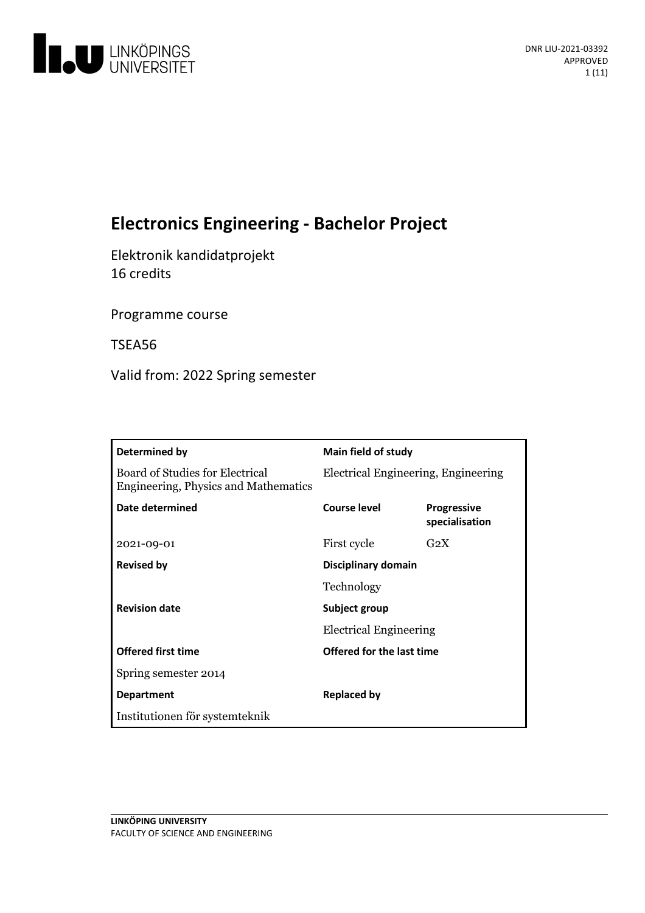

# **ElectronicsEngineering- Bachelor Project**

Elektronik kandidatprojekt 16 credits

Programme course

TSEA56

Valid from: 2022 Spring semester

| Determined by                                                                  | Main field of study                            |                                      |
|--------------------------------------------------------------------------------|------------------------------------------------|--------------------------------------|
| <b>Board of Studies for Electrical</b><br>Engineering, Physics and Mathematics | Electrical Engineering, Engineering            |                                      |
| Date determined                                                                | Course level                                   | <b>Progressive</b><br>specialisation |
| 2021-09-01                                                                     | First cycle                                    | $G_2X$                               |
| <b>Revised by</b>                                                              | Disciplinary domain                            |                                      |
|                                                                                | Technology                                     |                                      |
| <b>Revision date</b>                                                           | Subject group<br><b>Electrical Engineering</b> |                                      |
|                                                                                |                                                |                                      |
| <b>Offered first time</b>                                                      | Offered for the last time                      |                                      |
| Spring semester 2014                                                           |                                                |                                      |
| <b>Department</b>                                                              | <b>Replaced by</b>                             |                                      |
| Institutionen för systemteknik                                                 |                                                |                                      |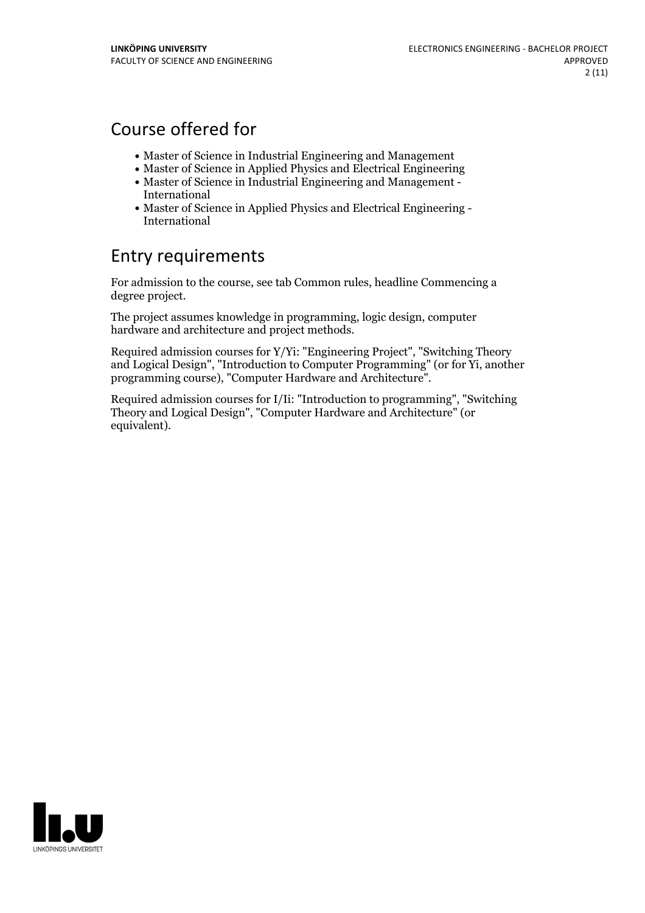# Course offered for

- Master of Science in Industrial Engineering and Management
- Master of Science in Applied Physics and Electrical Engineering
- Master of Science in Industrial Engineering and Management International
- Master of Science in Applied Physics and Electrical Engineering International

# Entry requirements

For admission to the course, see tab Common rules, headline Commencing a degree project.

The project assumes knowledge in programming, logic design, computer hardware and architecture and project methods.

Required admission courses for Y/Yi: "Engineering Project", "Switching Theory and Logical Design", "Introduction to Computer Programming" (or for Yi, another programming course), "Computer Hardware and Architecture".

Required admission courses for I/Ii: "Introduction to programming", "Switching Theory and Logical Design", "Computer Hardware and Architecture" (or equivalent).

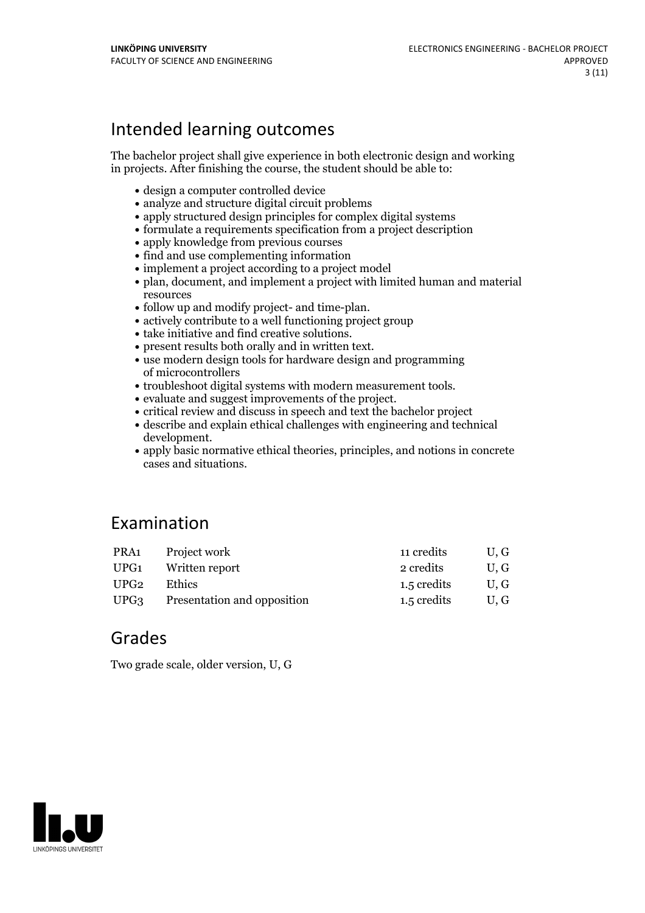# Intended learning outcomes

The bachelor project shall give experience in both electronic design and working in projects. After finishing the course, the student should be able to:

- design a computer controlled device
- analyze and structure digital circuit problems
- apply structured design principles for complex digital systems
- formulate a requirements specification from a project description
- apply knowledge from previous courses
- find and use complementing information
- implement a project according to a project model
- plan, document, and implement a project with limited human and material resources
- 
- follow up and modify project- and time-plan.<br>• actively contribute to a well functioning project group
- 
- 
- take initiative and find creative solutions. present results both orally and in written text. use modern design tools for hardware design and programming of microcontrollers<br>• troubleshoot digital systems with modern measurement tools.
- 
- 
- $\bullet$ evaluate and suggest improvements of the project.  $\bullet$  critical review and discuss in speech and text the bachelor project
- describe and explain ethical challenges with engineering and technical development.<br>• apply basic normative ethical theories, principles, and notions in concrete
- cases and situations.

# Examination

| PRA <sub>1</sub> | Project work                       | 11 credits  | U.G |
|------------------|------------------------------------|-------------|-----|
| UPG1             | Written report                     | 2 credits   | U.G |
| UPG2             | <b>Ethics</b>                      | 1.5 credits | U.G |
| UPG3             | <b>Presentation and opposition</b> | 1.5 credits | U.G |

# Grades

Two grade scale, older version, U, G

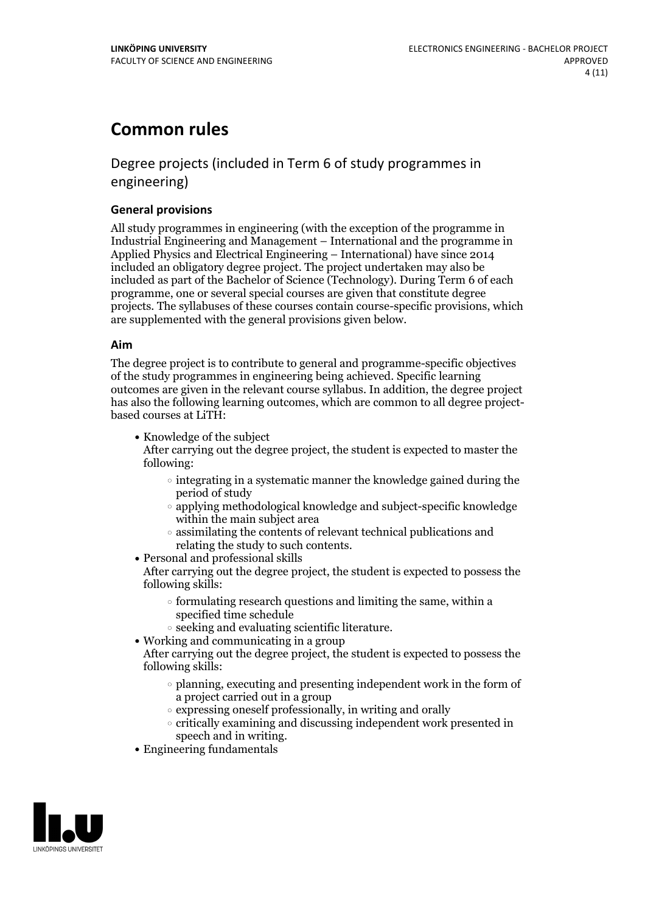# **Common rules**

# Degree projects (included in Term 6 of study programmes in engineering)

#### **General provisions**

All study programmes in engineering (with the exception of the programme in Industrial Engineering and Management – International and the programme in Applied Physics and Electrical Engineering – International) have since 2014 included an obligatory degree project. The project undertaken may also be included as part of the Bachelor of Science (Technology). During Term 6 of each programme, one or several special courses are given that constitute degree projects. The syllabuses of these courses contain course-specific provisions, which are supplemented with the general provisions given below.

#### **Aim**

The degree project is to contribute to general and programme-specific objectives of the study programmes in engineering being achieved. Specific learning outcomes are given in the relevant course syllabus. In addition, the degree project has also the following learning outcomes, which are common to all degree project- based courses at LiTH:

• Knowledge of the subject

After carrying out the degree project, the student is expected to master the following:

- $\circ$  integrating in a systematic manner the knowledge gained during the period of study
- applying methodological knowledge and subject-specific knowledge within the main subject area
- $\circ$  assimilating the contents of relevant technical publications and relating the study to such contents.<br>• Personal and professional skills
- 

After carrying out the degree project, the student is expected to possess the following skills:

- $\circ$  formulating research questions and limiting the same, within a specified time schedule
- $\circ$  seeking and evaluating scientific literature.<br>  $\bullet$  Working and communicating in a group
- 
- After carrying out the degree project, the student is expected to possess the following skills:
	- $\circ$  planning, executing and presenting independent work in the form of a project carried out in a group
	- $\circ$  expressing oneself professionally, in writing and orally
	- critically examining and discussing independent work presented in
- speech and in writing.<br>• Engineering fundamentals

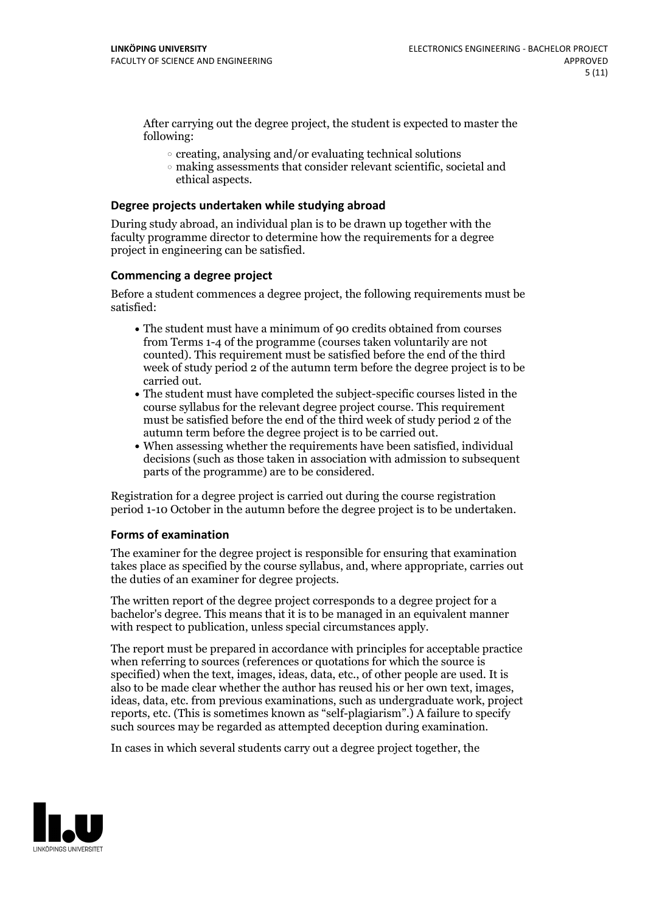After carrying out the degree project, the student is expected to master the following:

- $\circ$  creating, analysing and/or evaluating technical solutions
- making assessments that consider relevant scientific, societal and ethical aspects.

#### **Degree projects undertaken while studying abroad**

During study abroad, an individual plan is to be drawn up together with the faculty programme director to determine how the requirements for a degree project in engineering can be satisfied.

#### **Commencing a degree project**

Before a student commences a degree project, the following requirements must be satisfied:

- The student must have a minimum of 90 credits obtained from courses from Terms 1-4 of the programme (courses taken voluntarily are not counted). This requirement must be satisfied before the end of the third week of study period 2 of the autumn term before the degree project is to be carried out.<br>• The student must have completed the subject-specific courses listed in the
- course syllabus for the relevant degree project course. This requirement must be satisfied before the end of the third week of study period 2 of the
- $\bullet$  When assessing whether the requirements have been satisfied, individual decisions (such as those taken in association with admission to subsequent parts of the programme) are to be considered.

Registration for a degree project is carried out during the course registration period 1-10 October in the autumn before the degree project is to be undertaken.

#### **Forms of examination**

The examiner for the degree project is responsible for ensuring that examination takes place as specified by the course syllabus, and, where appropriate, carries out the duties of an examiner for degree projects.

The written report of the degree project corresponds to a degree project for a bachelor's degree. This means that it is to be managed in an equivalent manner with respect to publication, unless special circumstances apply.

The report must be prepared in accordance with principles for acceptable practice when referring to sources (references or quotations for which the source is specified) when the text, images, ideas, data, etc., of other people are used. It is also to be made clear whether the author has reused his or her own text, images, ideas, data, etc. from previous examinations, such as undergraduate work, project reports, etc. (This is sometimes known as"self-plagiarism".) A failure to specify such sources may be regarded as attempted deception during examination.

In cases in which several students carry out a degree project together, the

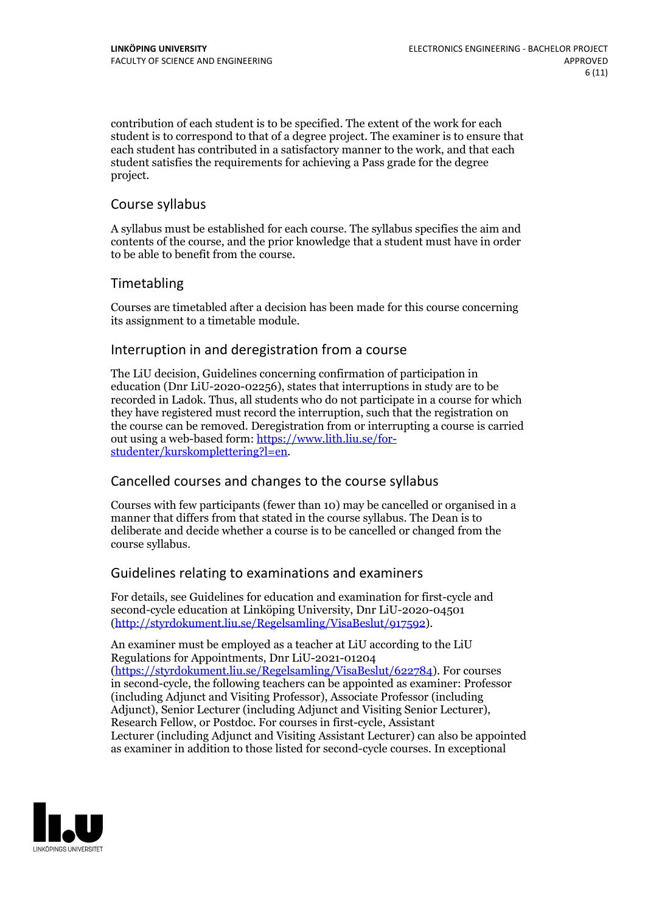contribution of each student is to be specified. The extent of the work for each student is to correspond to that of a degree project. The examiner is to ensure that each student has contributed in a satisfactory manner to the work, and that each student satisfies the requirements for achieving a Pass grade for the degree project.

### Course syllabus

A syllabus must be established for each course. The syllabus specifies the aim and contents of the course, and the prior knowledge that a student must have in order to be able to benefit from the course.

## Timetabling

Courses are timetabled after a decision has been made for this course concerning its assignment to a timetable module.

### Interruption in and deregistration from a course

The LiU decision, Guidelines concerning confirmation of participation in education (Dnr LiU-2020-02256), states that interruptions in study are to be recorded in Ladok. Thus, all students who do not participate in a course for which they have registered must record the interruption, such that the registration on the course can be removed. Deregistration from or interrupting a course is carried out using <sup>a</sup> web-based form: https://www.lith.liu.se/for- [studenter/kurskomplettering?l=en.](https://www.lith.liu.se/for-studenter/kurskomplettering?l=en)

## Cancelled coursesand changes to the course syllabus

Courses with few participants (fewer than 10) may be cancelled or organised in a manner that differs from that stated in the course syllabus. The Dean is to deliberate and decide whether a course is to be cancelled or changed from the course syllabus.

### Guidelines relating to examinations and examiners

For details, see Guidelines for education and examination for first-cycle and second-cycle education at Linköping University, Dnr LiU-2020-04501 [\(http://styrdokument.liu.se/Regelsamling/VisaBeslut/917592\)](http://styrdokument.liu.se/Regelsamling/VisaBeslut/917592).

An examiner must be employed as a teacher at LiU according to the LiU Regulations for Appointments, Dnr LiU-2021-01204 [\(https://styrdokument.liu.se/Regelsamling/VisaBeslut/622784](https://styrdokument.liu.se/Regelsamling/VisaBeslut/622784)). For courses in second-cycle, the following teachers can be appointed as examiner: Professor (including Adjunct and Visiting Professor), Associate Professor (including Adjunct), Senior Lecturer (including Adjunct and Visiting Senior Lecturer), Research Fellow, or Postdoc. For courses in first-cycle, Assistant Lecturer (including Adjunct and Visiting Assistant Lecturer) can also be appointed as examiner in addition to those listed for second-cycle courses. In exceptional

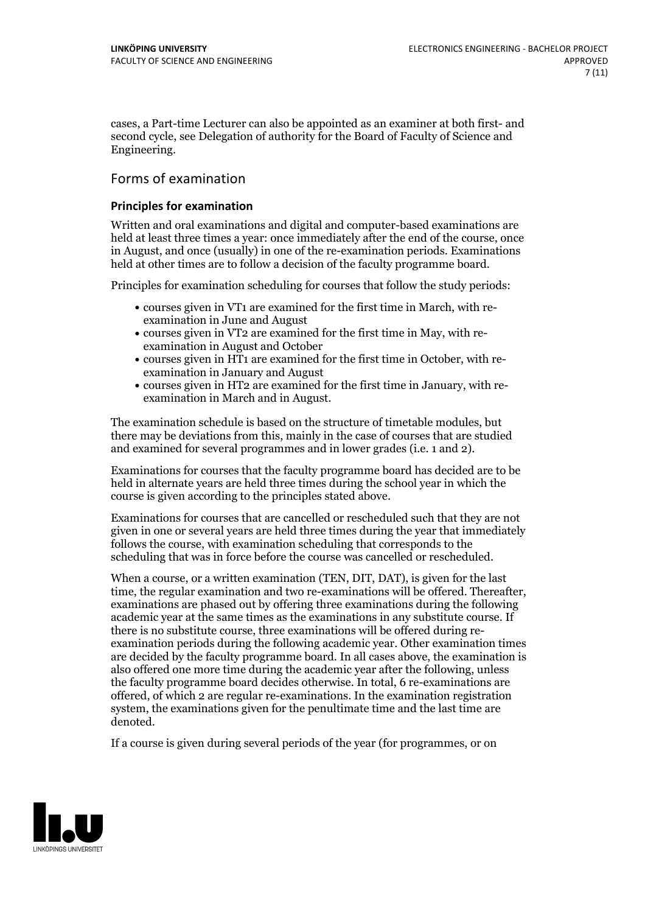cases, a Part-time Lecturer can also be appointed as an examiner at both first- and second cycle, see Delegation of authority for the Board of Faculty of Science and Engineering.

## Forms of examination

#### **Principles for examination**

Written and oral examinations and digital and computer-based examinations are held at least three times a year: once immediately after the end of the course, once in August, and once (usually) in one of the re-examination periods. Examinations held at other times are to follow a decision of the faculty programme board.

Principles for examination scheduling for courses that follow the study periods:

- courses given in VT1 are examined for the first time in March, with re-examination in June and August
- courses given in VT2 are examined for the first time in May, with re-examination in August and October
- courses given in HT1 are examined for the first time in October, with re-examination in January and August
- courses given in HT2 are examined for the first time in January, with re-examination in March and in August.

The examination schedule is based on the structure of timetable modules, but there may be deviations from this, mainly in the case of courses that are studied and examined for several programmes and in lower grades (i.e. 1 and 2).

Examinations for courses that the faculty programme board has decided are to be held in alternate years are held three times during the school year in which the course is given according to the principles stated above.

Examinations for courses that are cancelled or rescheduled such that they are not given in one or several years are held three times during the year that immediately follows the course, with examination scheduling that corresponds to the scheduling that was in force before the course was cancelled or rescheduled.

When a course, or a written examination (TEN, DIT, DAT), is given for the last time, the regular examination and two re-examinations will be offered. Thereafter, examinations are phased out by offering three examinations during the following academic year at the same times as the examinations in any substitute course. If there is no substitute course, three examinations will be offered during re- examination periods during the following academic year. Other examination times are decided by the faculty programme board. In all cases above, the examination is also offered one more time during the academic year after the following, unless the faculty programme board decides otherwise. In total, 6 re-examinations are offered, of which 2 are regular re-examinations. In the examination registration system, the examinations given for the penultimate time and the last time are denoted.

If a course is given during several periods of the year (for programmes, or on

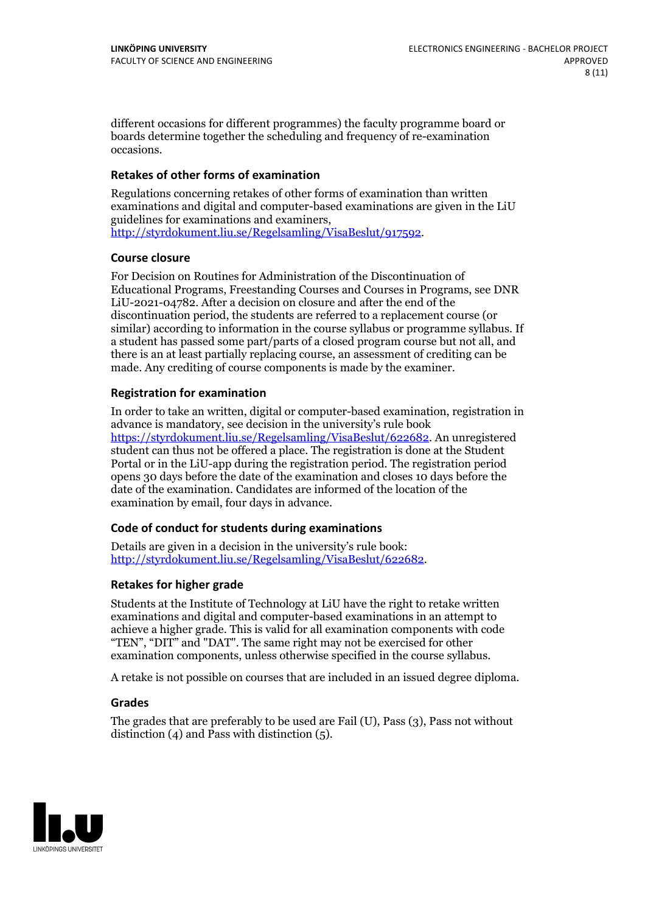different occasions for different programmes) the faculty programme board or boards determine together the scheduling and frequency of re-examination occasions.

#### **Retakes of other forms of examination**

Regulations concerning retakes of other forms of examination than written examinations and digital and computer-based examinations are given in the LiU [http://styrdokument.liu.se/Regelsamling/VisaBeslut/917592.](http://styrdokument.liu.se/Regelsamling/VisaBeslut/917592)

#### **Course closure**

For Decision on Routines for Administration of the Discontinuation of Educational Programs, Freestanding Courses and Courses in Programs, see DNR LiU-2021-04782. After a decision on closure and after the end of the discontinuation period, the students are referred to a replacement course (or similar) according to information in the course syllabus or programme syllabus. If a student has passed some part/parts of a closed program course but not all, and there is an at least partially replacing course, an assessment of crediting can be made. Any crediting of course components is made by the examiner.

#### **Registration for examination**

In order to take an written, digital or computer-based examination, registration in advance is mandatory, see decision in the university's rule book [https://styrdokument.liu.se/Regelsamling/VisaBeslut/622682.](https://styrdokument.liu.se/Regelsamling/VisaBeslut/622682) An unregistered student can thus not be offered a place. The registration is done at the Student Portal or in the LiU-app during the registration period. The registration period opens 30 days before the date of the examination and closes 10 days before the date of the examination. Candidates are informed of the location of the examination by email, four days in advance.

#### **Code of conduct for students during examinations**

Details are given in a decision in the university's rule book: <http://styrdokument.liu.se/Regelsamling/VisaBeslut/622682>.

### **Retakes for higher grade**

Students at the Institute of Technology at LiU have the right to retake written examinations and digital and computer-based examinations in an attempt to achieve a higher grade. This is valid for all examination components with code "TEN", "DIT" and "DAT". The same right may not be exercised for other examination components, unless otherwise specified in the course syllabus.

A retake is not possible on courses that are included in an issued degree diploma.

### **Grades**

The grades that are preferably to be used are Fail (U), Pass (3), Pass not without distinction  $(4)$  and Pass with distinction  $(5)$ .

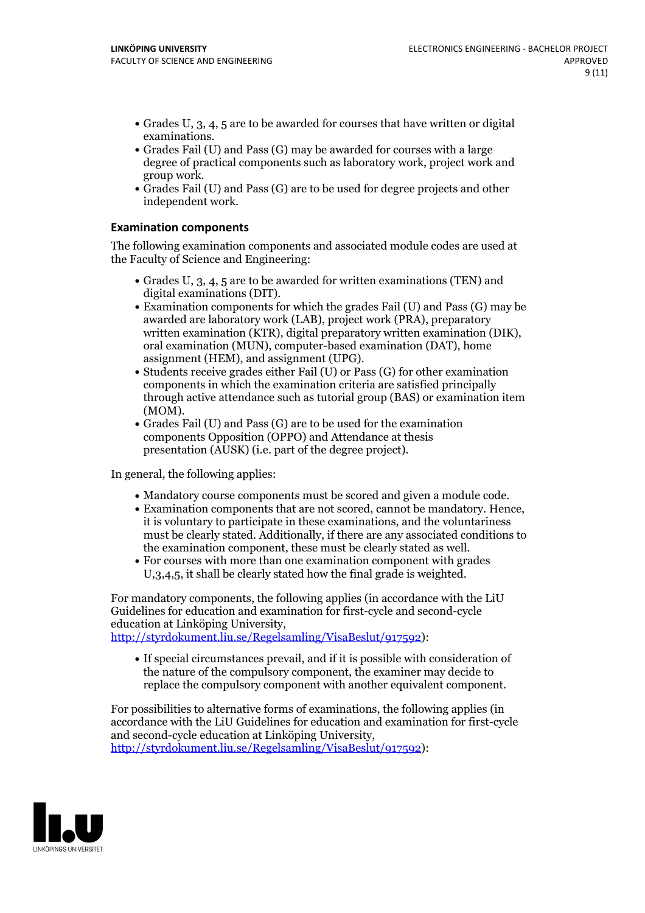- Grades U, 3, 4, 5 are to be awarded for courses that have written or digital examinations.<br>• Grades Fail (U) and Pass (G) may be awarded for courses with a large
- degree of practical components such as laboratory work, project work and
- group work. Grades Fail (U) and Pass (G) are to be used for degree projects and other independent work.

#### **Examination components**

The following examination components and associated module codes are used at the Faculty of Science and Engineering:

- Grades U,  $3$ ,  $4$ ,  $5$  are to be awarded for written examinations (TEN) and digital examinations (DIT).
- $\bullet$  Examination components for which the grades Fail (U) and Pass (G) may be awarded are laboratory work (LAB), project work (PRA), preparatory written examination (KTR), digital preparatory written examination (DIK), oral examination (MUN), computer-based examination (DAT), home
- assignment (HEM), and assignment (UPG).<br>• Students receive grades either Fail (U) or Pass (G) for other examination components in which the examination criteria are satisfied principally through active attendance such as tutorial group (BAS) or examination item (MOM).<br>• Grades Fail (U) and Pass (G) are to be used for the examination
- components Opposition (OPPO) and Attendance at thesis presentation (AUSK) (i.e. part of the degree project).

In general, the following applies:

- 
- Mandatory course components must be scored and given <sup>a</sup> module code. Examination components that are not scored, cannot be mandatory. Hence, it is voluntary to participate in these examinations, and the voluntariness must be clearly stated. Additionally, if there are any associated conditions to
- the examination component, these must be clearly stated as well.<br>• For courses with more than one examination component with grades U,3,4,5, it shall be clearly stated how the final grade is weighted.

For mandatory components, the following applies (in accordance with the LiU Guidelines for education and examination for first-cycle and second-cycle education at Linköping University,

[http://styrdokument.liu.se/Regelsamling/VisaBeslut/917592\)](http://styrdokument.liu.se/Regelsamling/VisaBeslut/917592):

If special circumstances prevail, and if it is possible with consideration of the nature of the compulsory component, the examiner may decide to replace the compulsory component with another equivalent component.

For possibilities to alternative forms of examinations, the following applies (in accordance with the LiU Guidelines for education and examination for first-cycle [http://styrdokument.liu.se/Regelsamling/VisaBeslut/917592\)](http://styrdokument.liu.se/Regelsamling/VisaBeslut/917592):

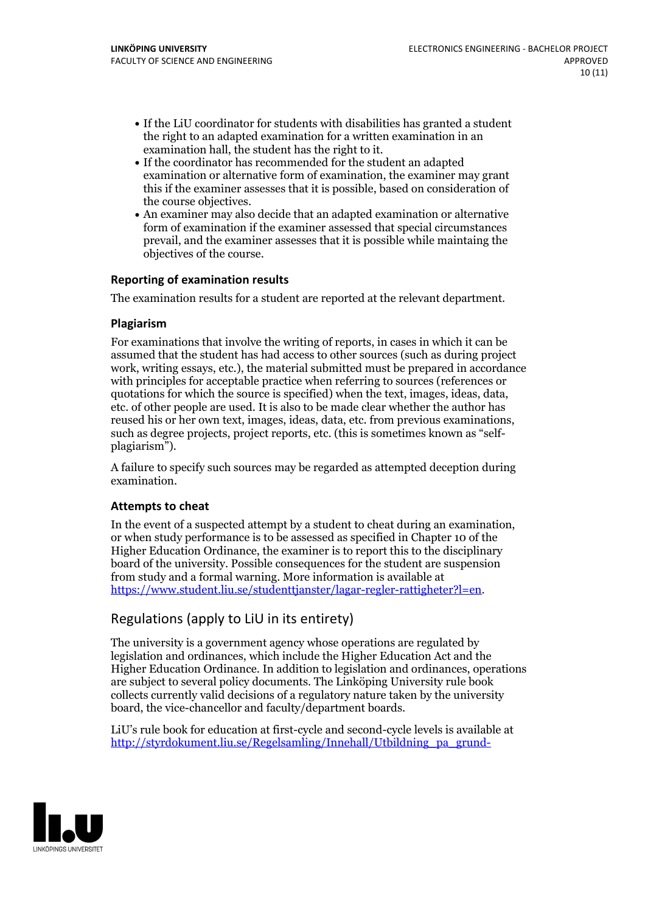- If the LiU coordinator for students with disabilities has granted a student the right to an adapted examination for a written examination in an
- $\bullet$  If the coordinator has recommended for the student an adapted examination or alternative form of examination, the examiner may grant this if the examiner assesses that it is possible, based on consideration of
- the course objectives. An examiner may also decide that an adapted examination or alternative form of examination if the examiner assessed that special circumstances prevail, and the examiner assesses that it is possible while maintaing the objectives of the course.

### **Reporting of examination results**

The examination results for a student are reported at the relevant department.

#### **Plagiarism**

For examinations that involve the writing of reports, in cases in which it can be assumed that the student has had access to other sources (such as during project work, writing essays, etc.), the material submitted must be prepared in accordance with principles for acceptable practice when referring to sources (references or quotations for which the source is specified) when the text, images, ideas, data, etc. of other people are used. It is also to be made clear whether the author has reused his or her own text, images, ideas, data, etc. from previous examinations, such as degree projects, project reports, etc. (this is sometimes known as "self- plagiarism").

A failure to specify such sources may be regarded as attempted deception during examination.

#### **Attempts to cheat**

In the event of <sup>a</sup> suspected attempt by <sup>a</sup> student to cheat during an examination, or when study performance is to be assessed as specified in Chapter <sup>10</sup> of the Higher Education Ordinance, the examiner is to report this to the disciplinary board of the university. Possible consequences for the student are suspension from study and a formal warning. More information is available at <https://www.student.liu.se/studenttjanster/lagar-regler-rattigheter?l=en>.

## Regulations (apply to LiU in its entirety)

The university is a government agency whose operations are regulated by legislation and ordinances, which include the Higher Education Act and the Higher Education Ordinance. In addition to legislation and ordinances, operations are subject to several policy documents. The Linköping University rule book collects currently valid decisions of a regulatory nature taken by the university board, the vice-chancellor and faculty/department boards.

LiU's rule book for education at first-cycle and second-cycle levels is available at [http://styrdokument.liu.se/Regelsamling/Innehall/Utbildning\\_pa\\_grund-](http://styrdokument.liu.se/Regelsamling/Innehall/Utbildning_pa_grund-_och_avancerad_niva)